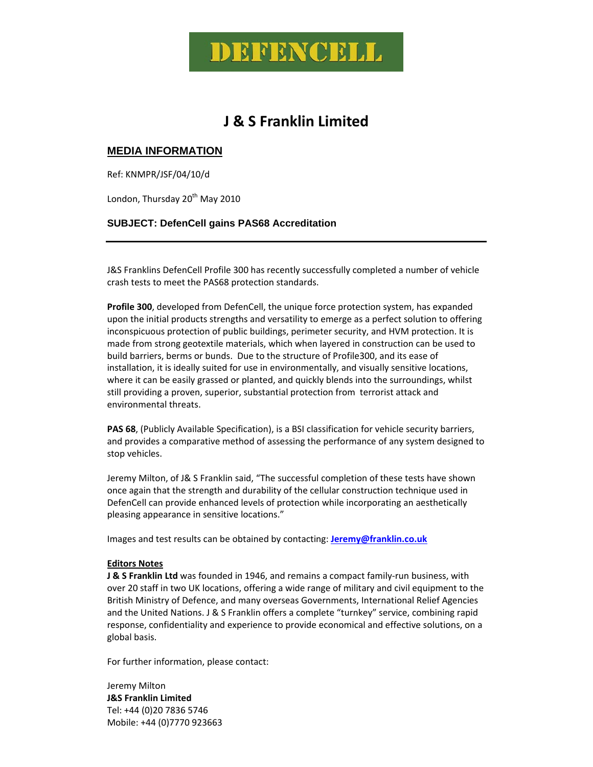

## **J & S Franklin Limited**

## **MEDIA INFORMATION**

Ref: KNMPR/JSF/04/10/d

London, Thursday 20<sup>th</sup> May 2010

## **SUBJECT: DefenCell gains PAS68 Accreditation**

J&S Franklins DefenCell Profile 300 has recently successfully completed a number of vehicle crash tests to meet the PAS68 protection standards.

**Profile 300**, developed from DefenCell, the unique force protection system, has expanded upon the initial products strengths and versatility to emerge as a perfect solution to offering inconspicuous protection of public buildings, perimeter security, and HVM protection. It is made from strong geotextile materials, which when layered in construction can be used to build barriers, berms or bunds. Due to the structure of Profile300, and its ease of installation, it is ideally suited for use in environmentally, and visually sensitive locations, where it can be easily grassed or planted, and quickly blends into the surroundings, whilst still providing a proven, superior, substantial protection from terrorist attack and environmental threats.

**PAS 68**, (Publicly Available Specification), is a BSI classification for vehicle security barriers, and provides a comparative method of assessing the performance of any system designed to stop vehicles.

Jeremy Milton, of J& S Franklin said, "The successful completion of these tests have shown once again that the strength and durability of the cellular construction technique used in DefenCell can provide enhanced levels of protection while incorporating an aesthetically pleasing appearance in sensitive locations."

Images and test results can be obtained by contacting: **Jeremy@franklin.co.uk**

## **Editors Notes**

**J & S Franklin Ltd** was founded in 1946, and remains a compact family‐run business, with over 20 staff in two UK locations, offering a wide range of military and civil equipment to the British Ministry of Defence, and many overseas Governments, International Relief Agencies and the United Nations. J & S Franklin offers a complete "turnkey" service, combining rapid response, confidentiality and experience to provide economical and effective solutions, on a global basis.

For further information, please contact:

Jeremy Milton **J&S Franklin Limited**  Tel: +44 (0)20 7836 5746 Mobile: +44 (0)7770 923663